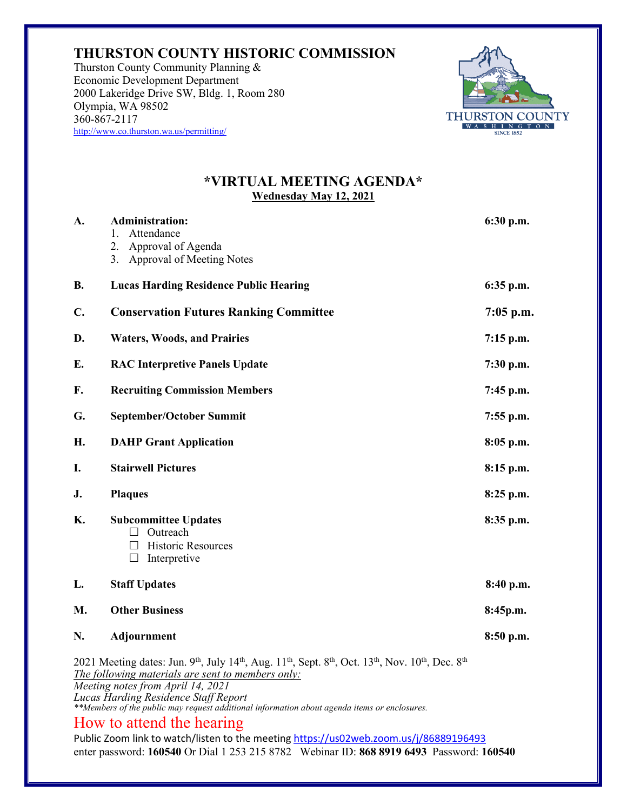## **THURSTON COUNTY HISTORIC COMMISSION**

Thurston County Community Planning & Economic Development Department 2000 Lakeridge Drive SW, Bldg. 1, Room 280 Olympia, WA 98502 360-867-2117 http://www.co.thurston.wa.us/permitting/



## **\*VIRTUAL MEETING AGENDA\* Wednesday May 12, 2021**

| А.                                                                                                                                                                                                                                                                                                                                                                                                                                                     | <b>Administration:</b><br>1. Attendance<br>2.<br>Approval of Agenda<br>3. Approval of Meeting Notes | 6:30 p.m.   |
|--------------------------------------------------------------------------------------------------------------------------------------------------------------------------------------------------------------------------------------------------------------------------------------------------------------------------------------------------------------------------------------------------------------------------------------------------------|-----------------------------------------------------------------------------------------------------|-------------|
| В.                                                                                                                                                                                                                                                                                                                                                                                                                                                     | <b>Lucas Harding Residence Public Hearing</b>                                                       | 6:35 p.m.   |
| C.                                                                                                                                                                                                                                                                                                                                                                                                                                                     | <b>Conservation Futures Ranking Committee</b>                                                       | $7:05$ p.m. |
| D.                                                                                                                                                                                                                                                                                                                                                                                                                                                     | <b>Waters, Woods, and Prairies</b>                                                                  | $7:15$ p.m. |
| E.                                                                                                                                                                                                                                                                                                                                                                                                                                                     | <b>RAC Interpretive Panels Update</b>                                                               | $7:30$ p.m. |
| F.                                                                                                                                                                                                                                                                                                                                                                                                                                                     | <b>Recruiting Commission Members</b>                                                                | 7:45 p.m.   |
| G.                                                                                                                                                                                                                                                                                                                                                                                                                                                     | <b>September/October Summit</b>                                                                     | $7:55$ p.m. |
| H.                                                                                                                                                                                                                                                                                                                                                                                                                                                     | <b>DAHP Grant Application</b>                                                                       | 8:05 p.m.   |
| I.                                                                                                                                                                                                                                                                                                                                                                                                                                                     | <b>Stairwell Pictures</b>                                                                           | 8:15 p.m.   |
| J.                                                                                                                                                                                                                                                                                                                                                                                                                                                     | <b>Plaques</b>                                                                                      | $8:25$ p.m. |
| К.                                                                                                                                                                                                                                                                                                                                                                                                                                                     | <b>Subcommittee Updates</b><br>Outreach<br>П<br>Historic Resources<br>$\Box$<br>Interpretive        | 8:35 p.m.   |
| L.                                                                                                                                                                                                                                                                                                                                                                                                                                                     | <b>Staff Updates</b>                                                                                | 8:40 p.m.   |
| М.                                                                                                                                                                                                                                                                                                                                                                                                                                                     | <b>Other Business</b>                                                                               | 8:45p.m.    |
| N.                                                                                                                                                                                                                                                                                                                                                                                                                                                     | Adjournment                                                                                         | 8:50 p.m.   |
| 2021 Meeting dates: Jun. 9 <sup>th</sup> , July 14 <sup>th</sup> , Aug. 11 <sup>th</sup> , Sept. 8 <sup>th</sup> , Oct. 13 <sup>th</sup> , Nov. 10 <sup>th</sup> , Dec. 8 <sup>th</sup><br>The following materials are sent to members only:<br>Meeting notes from April 14, 2021<br>Lucas Harding Residence Staff Report<br>**Members of the public may request additional information about agenda items or enclosures.<br>How to attend the hearing |                                                                                                     |             |
| Public Zoom link to watch/listen to the meeting https://us02web.zoom.us/j/86889196493                                                                                                                                                                                                                                                                                                                                                                  |                                                                                                     |             |

enter password: **160540** Or Dial 1 253 215 8782 Webinar ID: **868 8919 6493** Password: **160540**